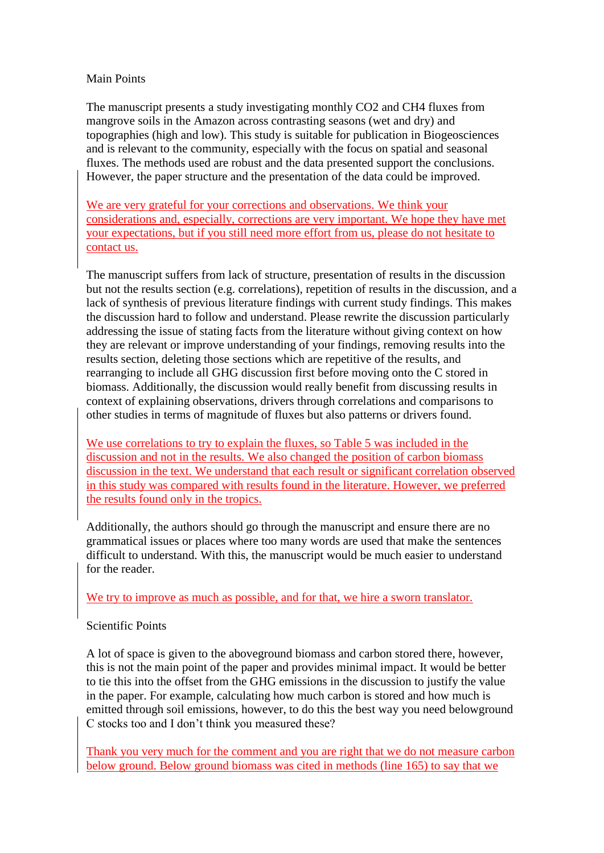#### Main Points

The manuscript presents a study investigating monthly CO2 and CH4 fluxes from mangrove soils in the Amazon across contrasting seasons (wet and dry) and topographies (high and low). This study is suitable for publication in Biogeosciences and is relevant to the community, especially with the focus on spatial and seasonal fluxes. The methods used are robust and the data presented support the conclusions. However, the paper structure and the presentation of the data could be improved.

We are very grateful for your corrections and observations. We think your considerations and, especially, corrections are very important. We hope they have met your expectations, but if you still need more effort from us, please do not hesitate to contact us.

The manuscript suffers from lack of structure, presentation of results in the discussion but not the results section (e.g. correlations), repetition of results in the discussion, and a lack of synthesis of previous literature findings with current study findings. This makes the discussion hard to follow and understand. Please rewrite the discussion particularly addressing the issue of stating facts from the literature without giving context on how they are relevant or improve understanding of your findings, removing results into the results section, deleting those sections which are repetitive of the results, and rearranging to include all GHG discussion first before moving onto the C stored in biomass. Additionally, the discussion would really benefit from discussing results in context of explaining observations, drivers through correlations and comparisons to other studies in terms of magnitude of fluxes but also patterns or drivers found.

We use correlations to try to explain the fluxes, so Table 5 was included in the discussion and not in the results. We also changed the position of carbon biomass discussion in the text. We understand that each result or significant correlation observed in this study was compared with results found in the literature. However, we preferred the results found only in the tropics.

Additionally, the authors should go through the manuscript and ensure there are no grammatical issues or places where too many words are used that make the sentences difficult to understand. With this, the manuscript would be much easier to understand for the reader.

We try to improve as much as possible, and for that, we hire a sworn translator.

### Scientific Points

A lot of space is given to the aboveground biomass and carbon stored there, however, this is not the main point of the paper and provides minimal impact. It would be better to tie this into the offset from the GHG emissions in the discussion to justify the value in the paper. For example, calculating how much carbon is stored and how much is emitted through soil emissions, however, to do this the best way you need belowground C stocks too and I don't think you measured these?

Thank you very much for the comment and you are right that we do not measure carbon below ground. Below ground biomass was cited in methods (line 165) to say that we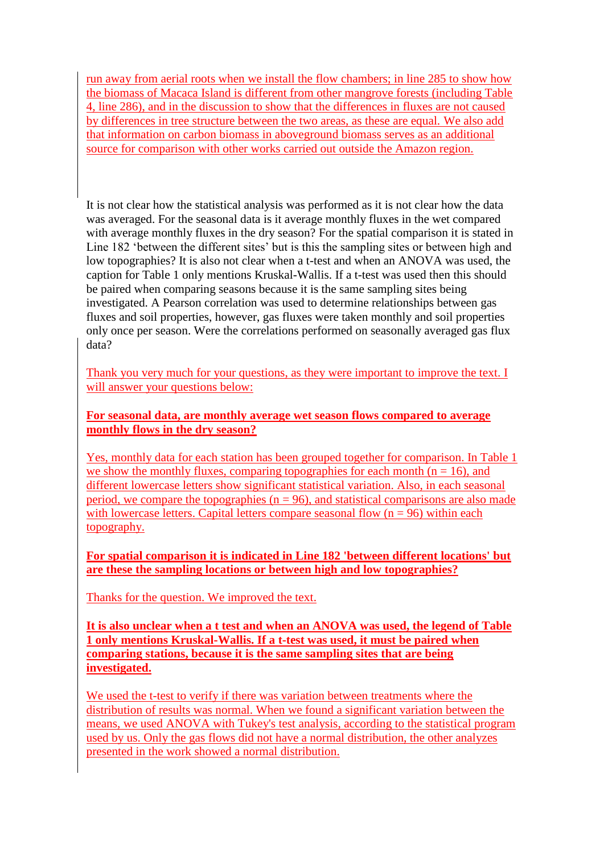run away from aerial roots when we install the flow chambers; in line 285 to show how the biomass of Macaca Island is different from other mangrove forests (including Table 4, line 286), and in the discussion to show that the differences in fluxes are not caused by differences in tree structure between the two areas, as these are equal. We also add that information on carbon biomass in aboveground biomass serves as an additional source for comparison with other works carried out outside the Amazon region.

It is not clear how the statistical analysis was performed as it is not clear how the data was averaged. For the seasonal data is it average monthly fluxes in the wet compared with average monthly fluxes in the dry season? For the spatial comparison it is stated in Line 182 'between the different sites' but is this the sampling sites or between high and low topographies? It is also not clear when a t-test and when an ANOVA was used, the caption for Table 1 only mentions Kruskal-Wallis. If a t-test was used then this should be paired when comparing seasons because it is the same sampling sites being investigated. A Pearson correlation was used to determine relationships between gas fluxes and soil properties, however, gas fluxes were taken monthly and soil properties only once per season. Were the correlations performed on seasonally averaged gas flux data?

Thank you very much for your questions, as they were important to improve the text. I will answer your questions below:

### **For seasonal data, are monthly average wet season flows compared to average monthly flows in the dry season?**

Yes, monthly data for each station has been grouped together for comparison. In Table 1 we show the monthly fluxes, comparing topographies for each month ( $n = 16$ ), and different lowercase letters show significant statistical variation. Also, in each seasonal period, we compare the topographies ( $n = 96$ ), and statistical comparisons are also made with lowercase letters. Capital letters compare seasonal flow  $(n = 96)$  within each topography.

**For spatial comparison it is indicated in Line 182 'between different locations' but are these the sampling locations or between high and low topographies?**

Thanks for the question. We improved the text.

**It is also unclear when a t test and when an ANOVA was used, the legend of Table 1 only mentions Kruskal-Wallis. If a t-test was used, it must be paired when comparing stations, because it is the same sampling sites that are being investigated.**

We used the t-test to verify if there was variation between treatments where the distribution of results was normal. When we found a significant variation between the means, we used ANOVA with Tukey's test analysis, according to the statistical program used by us. Only the gas flows did not have a normal distribution, the other analyzes presented in the work showed a normal distribution.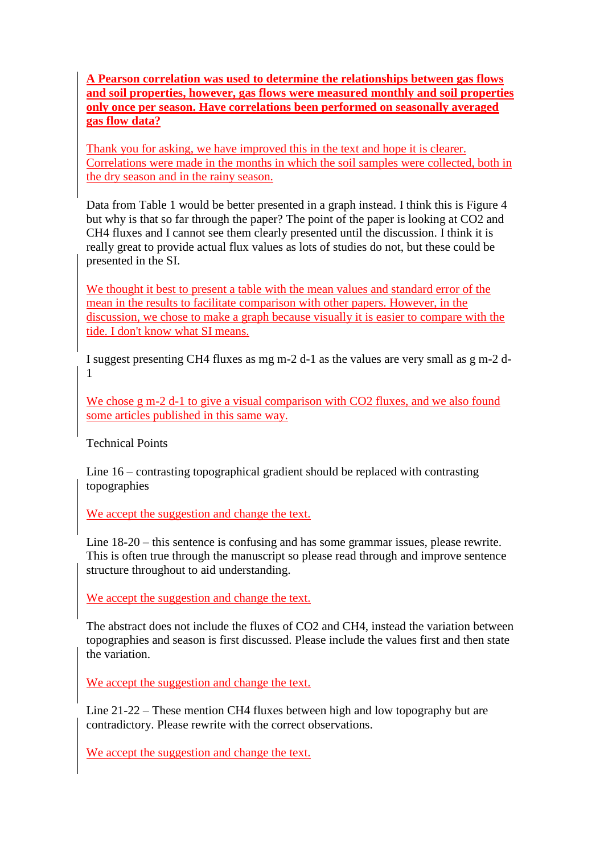**A Pearson correlation was used to determine the relationships between gas flows and soil properties, however, gas flows were measured monthly and soil properties only once per season. Have correlations been performed on seasonally averaged gas flow data?**

Thank you for asking, we have improved this in the text and hope it is clearer. Correlations were made in the months in which the soil samples were collected, both in the dry season and in the rainy season.

Data from Table 1 would be better presented in a graph instead. I think this is Figure 4 but why is that so far through the paper? The point of the paper is looking at CO2 and CH4 fluxes and I cannot see them clearly presented until the discussion. I think it is really great to provide actual flux values as lots of studies do not, but these could be presented in the SI.

We thought it best to present a table with the mean values and standard error of the mean in the results to facilitate comparison with other papers. However, in the discussion, we chose to make a graph because visually it is easier to compare with the tide. I don't know what SI means.

I suggest presenting CH4 fluxes as mg m-2 d-1 as the values are very small as g m-2 d-1

We chose g m-2 d-1 to give a visual comparison with CO2 fluxes, and we also found some articles published in this same way.

Technical Points

Line 16 – contrasting topographical gradient should be replaced with contrasting topographies

We accept the suggestion and change the text.

Line 18-20 – this sentence is confusing and has some grammar issues, please rewrite. This is often true through the manuscript so please read through and improve sentence structure throughout to aid understanding.

We accept the suggestion and change the text.

The abstract does not include the fluxes of CO2 and CH4, instead the variation between topographies and season is first discussed. Please include the values first and then state the variation.

We accept the suggestion and change the text.

Line 21-22 – These mention CH4 fluxes between high and low topography but are contradictory. Please rewrite with the correct observations.

We accept the suggestion and change the text.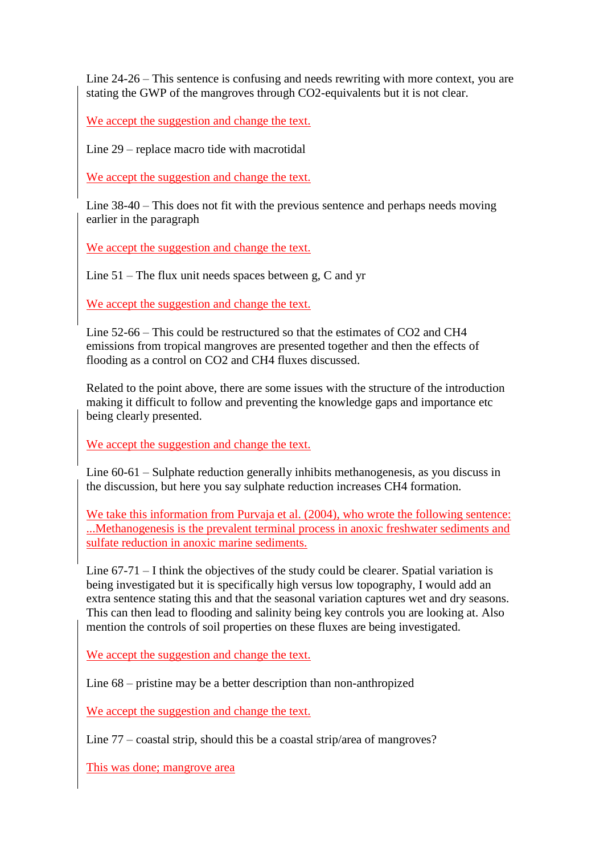Line 24-26 – This sentence is confusing and needs rewriting with more context, you are stating the GWP of the mangroves through CO2-equivalents but it is not clear.

We accept the suggestion and change the text.

Line 29 – replace macro tide with macrotidal

We accept the suggestion and change the text.

Line 38-40 – This does not fit with the previous sentence and perhaps needs moving earlier in the paragraph

We accept the suggestion and change the text.

Line 51 – The flux unit needs spaces between g, C and yr

We accept the suggestion and change the text.

Line 52-66 – This could be restructured so that the estimates of CO2 and CH4 emissions from tropical mangroves are presented together and then the effects of flooding as a control on CO2 and CH4 fluxes discussed.

Related to the point above, there are some issues with the structure of the introduction making it difficult to follow and preventing the knowledge gaps and importance etc being clearly presented.

We accept the suggestion and change the text.

Line 60-61 – Sulphate reduction generally inhibits methanogenesis, as you discuss in the discussion, but here you say sulphate reduction increases CH4 formation.

We take this information from Purvaja et al. (2004), who wrote the following sentence: ...Methanogenesis is the prevalent terminal process in anoxic freshwater sediments and sulfate reduction in anoxic marine sediments.

Line 67-71 – I think the objectives of the study could be clearer. Spatial variation is being investigated but it is specifically high versus low topography, I would add an extra sentence stating this and that the seasonal variation captures wet and dry seasons. This can then lead to flooding and salinity being key controls you are looking at. Also mention the controls of soil properties on these fluxes are being investigated.

We accept the suggestion and change the text.

Line 68 – pristine may be a better description than non-anthropized

We accept the suggestion and change the text.

Line 77 – coastal strip, should this be a coastal strip/area of mangroves?

This was done; mangrove area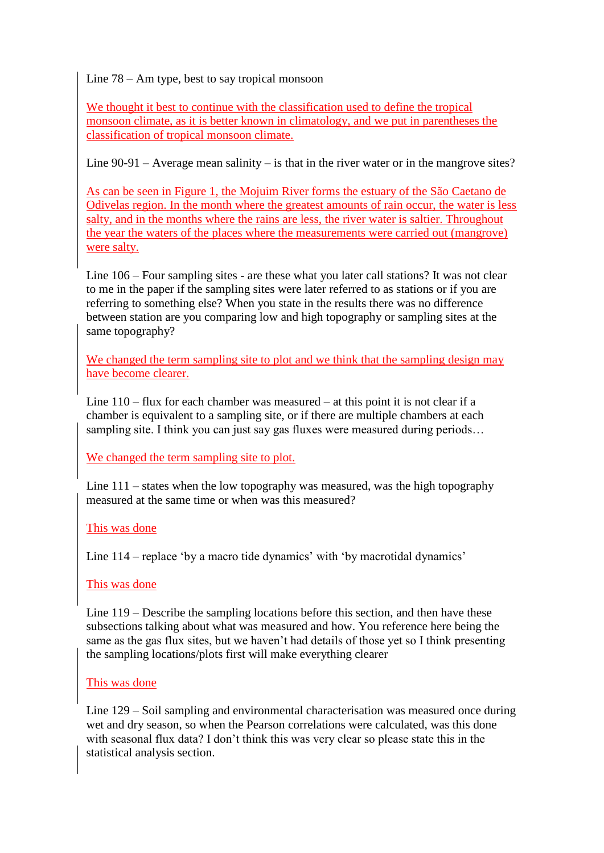Line 78 – Am type, best to say tropical monsoon

We thought it best to continue with the classification used to define the tropical monsoon climate, as it is better known in climatology, and we put in parentheses the classification of tropical monsoon climate.

Line  $90-91$  – Average mean salinity – is that in the river water or in the mangrove sites?

As can be seen in Figure 1, the Mojuim River forms the estuary of the São Caetano de Odivelas region. In the month where the greatest amounts of rain occur, the water is less salty, and in the months where the rains are less, the river water is saltier. Throughout the year the waters of the places where the measurements were carried out (mangrove) were salty.

Line 106 – Four sampling sites - are these what you later call stations? It was not clear to me in the paper if the sampling sites were later referred to as stations or if you are referring to something else? When you state in the results there was no difference between station are you comparing low and high topography or sampling sites at the same topography?

We changed the term sampling site to plot and we think that the sampling design may have become clearer.

Line  $110 -$  flux for each chamber was measured  $-$  at this point it is not clear if a chamber is equivalent to a sampling site, or if there are multiple chambers at each sampling site. I think you can just say gas fluxes were measured during periods...

We changed the term sampling site to plot.

Line 111 – states when the low topography was measured, was the high topography measured at the same time or when was this measured?

# This was done

Line 114 – replace 'by a macro tide dynamics' with 'by macrotidal dynamics'

### This was done

Line 119 – Describe the sampling locations before this section, and then have these subsections talking about what was measured and how. You reference here being the same as the gas flux sites, but we haven't had details of those yet so I think presenting the sampling locations/plots first will make everything clearer

### This was done

Line 129 – Soil sampling and environmental characterisation was measured once during wet and dry season, so when the Pearson correlations were calculated, was this done with seasonal flux data? I don't think this was very clear so please state this in the statistical analysis section.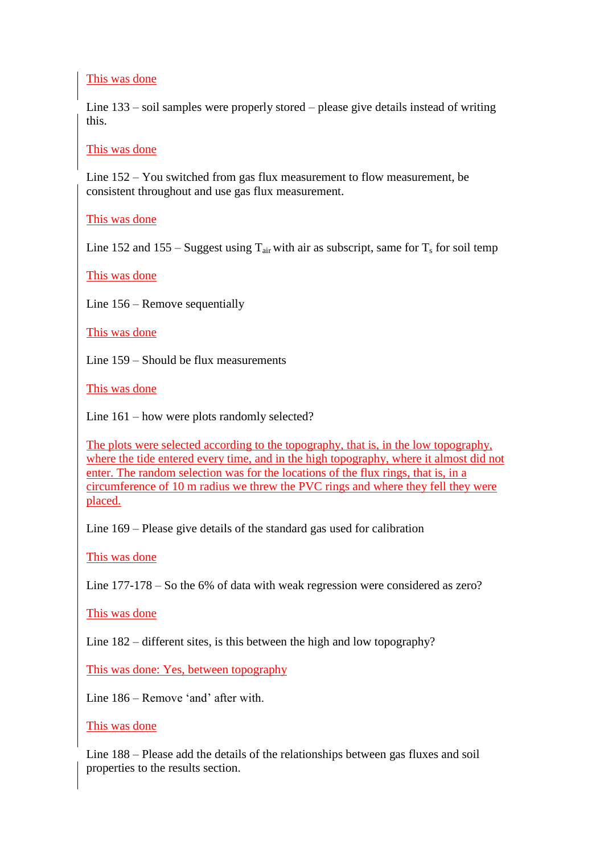### This was done

Line 133 – soil samples were properly stored – please give details instead of writing this.

### This was done

Line 152 – You switched from gas flux measurement to flow measurement, be consistent throughout and use gas flux measurement.

### This was done

Line 152 and 155 – Suggest using  $T_{air}$  with air as subscript, same for  $T_s$  for soil temp

This was done

Line 156 – Remove sequentially

This was done

Line 159 – Should be flux measurements

This was done

Line 161 – how were plots randomly selected?

The plots were selected according to the topography, that is, in the low topography, where the tide entered every time, and in the high topography, where it almost did not enter. The random selection was for the locations of the flux rings, that is, in a circumference of 10 m radius we threw the PVC rings and where they fell they were placed.

Line 169 – Please give details of the standard gas used for calibration

This was done

Line 177-178 – So the 6% of data with weak regression were considered as zero?

This was done

Line 182 – different sites, is this between the high and low topography?

This was done: Yes, between topography

Line 186 – Remove 'and' after with.

#### This was done

Line 188 – Please add the details of the relationships between gas fluxes and soil properties to the results section.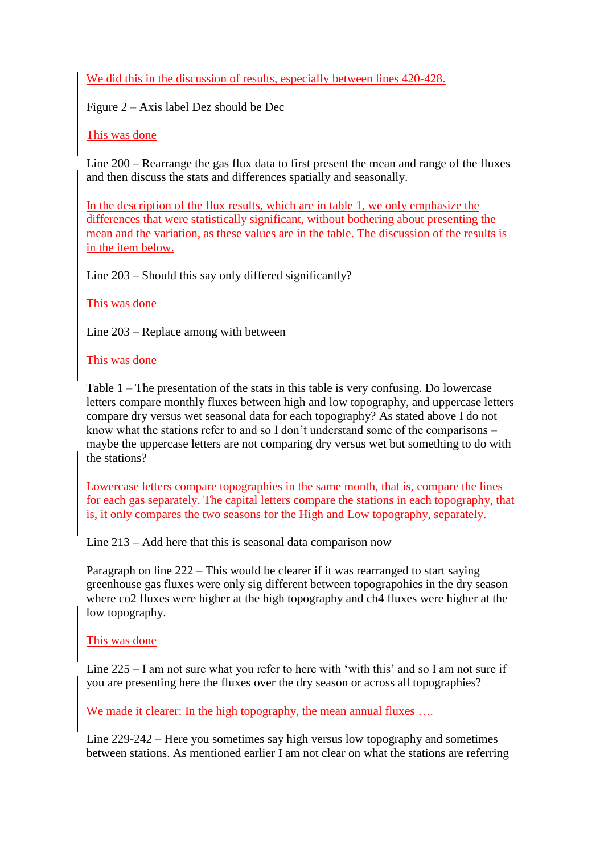We did this in the discussion of results, especially between lines 420-428.

Figure 2 – Axis label Dez should be Dec

This was done

Line 200 – Rearrange the gas flux data to first present the mean and range of the fluxes and then discuss the stats and differences spatially and seasonally.

In the description of the flux results, which are in table 1, we only emphasize the differences that were statistically significant, without bothering about presenting the mean and the variation, as these values are in the table. The discussion of the results is in the item below.

Line 203 – Should this say only differed significantly?

This was done

Line 203 – Replace among with between

This was done

Table 1 – The presentation of the stats in this table is very confusing. Do lowercase letters compare monthly fluxes between high and low topography, and uppercase letters compare dry versus wet seasonal data for each topography? As stated above I do not know what the stations refer to and so I don't understand some of the comparisons – maybe the uppercase letters are not comparing dry versus wet but something to do with the stations?

Lowercase letters compare topographies in the same month, that is, compare the lines for each gas separately. The capital letters compare the stations in each topography, that is, it only compares the two seasons for the High and Low topography, separately.

Line 213 – Add here that this is seasonal data comparison now

Paragraph on line 222 – This would be clearer if it was rearranged to start saying greenhouse gas fluxes were only sig different between topograpohies in the dry season where co2 fluxes were higher at the high topography and ch4 fluxes were higher at the low topography.

# This was done

Line 225 – I am not sure what you refer to here with 'with this' and so I am not sure if you are presenting here the fluxes over the dry season or across all topographies?

We made it clearer: In the high topography, the mean annual fluxes ...

Line 229-242 – Here you sometimes say high versus low topography and sometimes between stations. As mentioned earlier I am not clear on what the stations are referring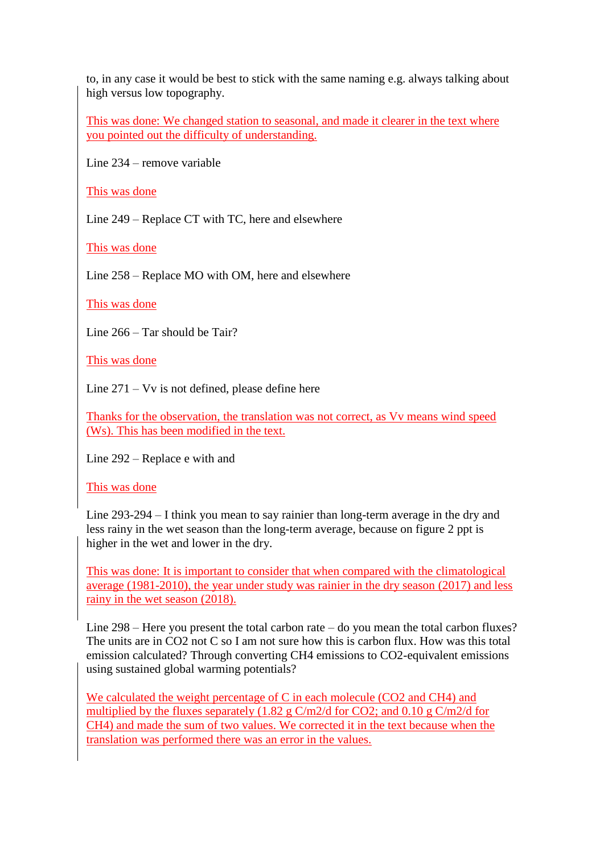to, in any case it would be best to stick with the same naming e.g. always talking about high versus low topography.

This was done: We changed station to seasonal, and made it clearer in the text where you pointed out the difficulty of understanding.

Line 234 – remove variable

This was done

Line 249 – Replace CT with TC, here and elsewhere

This was done

Line 258 – Replace MO with OM, here and elsewhere

This was done

Line 266 – Tar should be Tair?

This was done

Line 271 – Vv is not defined, please define here

Thanks for the observation, the translation was not correct, as Vv means wind speed (Ws). This has been modified in the text.

Line 292 – Replace e with and

This was done

Line 293-294 – I think you mean to say rainier than long-term average in the dry and less rainy in the wet season than the long-term average, because on figure 2 ppt is higher in the wet and lower in the dry.

This was done: It is important to consider that when compared with the climatological average (1981-2010), the year under study was rainier in the dry season (2017) and less rainy in the wet season (2018).

Line 298 – Here you present the total carbon rate – do you mean the total carbon fluxes? The units are in CO2 not C so I am not sure how this is carbon flux. How was this total emission calculated? Through converting CH4 emissions to CO2-equivalent emissions using sustained global warming potentials?

We calculated the weight percentage of C in each molecule (CO2 and CH4) and multiplied by the fluxes separately (1.82 g C/m2/d for CO2; and 0.10 g C/m2/d for CH4) and made the sum of two values. We corrected it in the text because when the translation was performed there was an error in the values.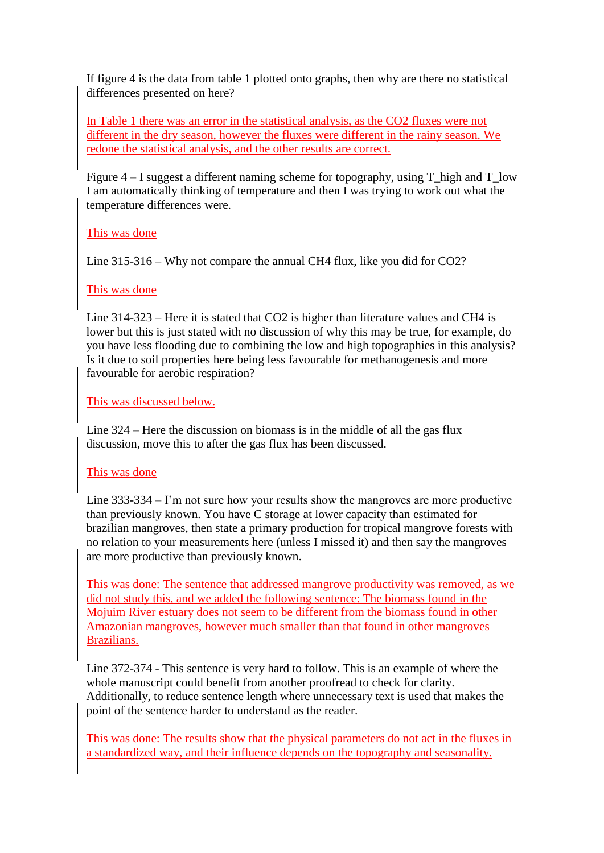If figure 4 is the data from table 1 plotted onto graphs, then why are there no statistical differences presented on here?

In Table 1 there was an error in the statistical analysis, as the CO2 fluxes were not different in the dry season, however the fluxes were different in the rainy season. We redone the statistical analysis, and the other results are correct.

Figure  $4 - I$  suggest a different naming scheme for topography, using T\_high and T\_low I am automatically thinking of temperature and then I was trying to work out what the temperature differences were.

### This was done

Line 315-316 – Why not compare the annual CH4 flux, like you did for CO2?

### This was done

Line 314-323 – Here it is stated that CO2 is higher than literature values and CH4 is lower but this is just stated with no discussion of why this may be true, for example, do you have less flooding due to combining the low and high topographies in this analysis? Is it due to soil properties here being less favourable for methanogenesis and more favourable for aerobic respiration?

This was discussed below.

Line 324 – Here the discussion on biomass is in the middle of all the gas flux discussion, move this to after the gas flux has been discussed.

# This was done

Line 333-334 – I'm not sure how your results show the mangroves are more productive than previously known. You have C storage at lower capacity than estimated for brazilian mangroves, then state a primary production for tropical mangrove forests with no relation to your measurements here (unless I missed it) and then say the mangroves are more productive than previously known.

This was done: The sentence that addressed mangrove productivity was removed, as we did not study this, and we added the following sentence: The biomass found in the Mojuim River estuary does not seem to be different from the biomass found in other Amazonian mangroves, however much smaller than that found in other mangroves Brazilians.

Line 372-374 - This sentence is very hard to follow. This is an example of where the whole manuscript could benefit from another proofread to check for clarity. Additionally, to reduce sentence length where unnecessary text is used that makes the point of the sentence harder to understand as the reader.

This was done: The results show that the physical parameters do not act in the fluxes in a standardized way, and their influence depends on the topography and seasonality.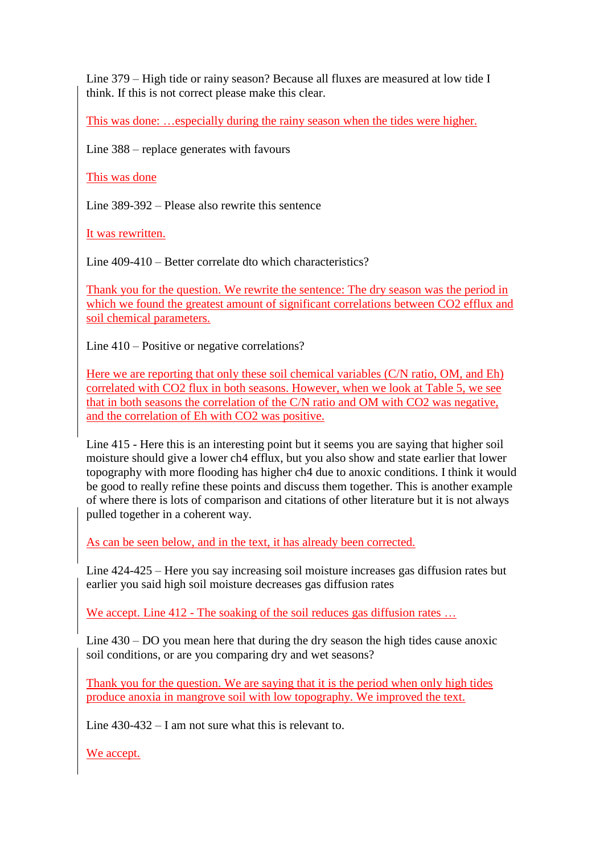Line 379 – High tide or rainy season? Because all fluxes are measured at low tide I think. If this is not correct please make this clear.

This was done: …especially during the rainy season when the tides were higher.

Line 388 – replace generates with favours

This was done

Line 389-392 – Please also rewrite this sentence

It was rewritten.

Line 409-410 – Better correlate dto which characteristics?

Thank you for the question. We rewrite the sentence: The dry season was the period in which we found the greatest amount of significant correlations between CO2 efflux and soil chemical parameters.

Line 410 – Positive or negative correlations?

Here we are reporting that only these soil chemical variables (C/N ratio, OM, and Eh) correlated with CO2 flux in both seasons. However, when we look at Table 5, we see that in both seasons the correlation of the C/N ratio and OM with CO2 was negative, and the correlation of Eh with CO2 was positive.

Line 415 - Here this is an interesting point but it seems you are saying that higher soil moisture should give a lower ch4 efflux, but you also show and state earlier that lower topography with more flooding has higher ch4 due to anoxic conditions. I think it would be good to really refine these points and discuss them together. This is another example of where there is lots of comparison and citations of other literature but it is not always pulled together in a coherent way.

As can be seen below, and in the text, it has already been corrected.

Line 424-425 – Here you say increasing soil moisture increases gas diffusion rates but earlier you said high soil moisture decreases gas diffusion rates

We accept. Line 412 - The soaking of the soil reduces gas diffusion rates ...

Line 430 – DO you mean here that during the dry season the high tides cause anoxic soil conditions, or are you comparing dry and wet seasons?

Thank you for the question. We are saying that it is the period when only high tides produce anoxia in mangrove soil with low topography. We improved the text.

Line 430-432 – I am not sure what this is relevant to.

We accept.